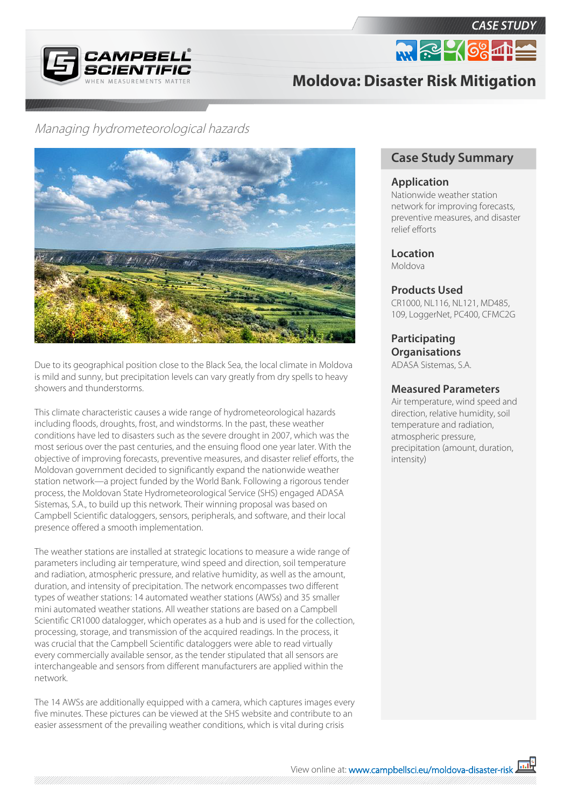

*CASE STUDY* **M. R. 4 68 mm** 

# **Moldova: Disaster Risk Mitigation**

# Managing hydrometeorological hazards



Due to its geographical position close to the Black Sea, the local climate in Moldova is mild and sunny, but precipitation levels can vary greatly from dry spells to heavy showers and thunderstorms.

This climate characteristic causes a wide range of hydrometeorological hazards including floods, droughts, frost, and windstorms. In the past, these weather conditions have led to disasters such as the severe drought in 2007, which was the most serious over the past centuries, and the ensuing flood one year later. With the objective of improving forecasts, preventive measures, and disaster relief efforts, the Moldovan government decided to significantly expand the nationwide weather station network—a project funded by the World Bank. Following a rigorous tender process, the Moldovan State Hydrometeorological Service (SHS) engaged ADASA Sistemas, S.A., to build up this network. Their winning proposal was based on Campbell Scientific dataloggers, sensors, peripherals, and software, and their local presence offered a smooth implementation.

The weather stations are installed at strategic locations to measure a wide range of parameters including air temperature, wind speed and direction, soil temperature and radiation, atmospheric pressure, and relative humidity, as well as the amount, duration, and intensity of precipitation. The network encompasses two different types of weather stations: 14 automated weather stations (AWSs) and 35 smaller mini automated weather stations. All weather stations are based on a Campbell Scientific CR1000 datalogger, which operates as a hub and is used for the collection, processing, storage, and transmission of the acquired readings. In the process, it was crucial that the Campbell Scientific dataloggers were able to read virtually every commercially available sensor, as the tender stipulated that all sensors are interchangeable and sensors from different manufacturers are applied within the network.

The 14 AWSs are additionally equipped with a camera, which captures images every five minutes. These pictures can be viewed at the SHS website and contribute to an easier assessment of the prevailing weather conditions, which is vital during crisis

# **Case Study Summary**

#### **Application**

Nationwide weather station network for improving forecasts, preventive measures, and disaster relief efforts

**Location** Moldova

### **Products Used**

CR1000, NL116, NL121, MD485, 109, LoggerNet, PC400, CFMC2G

**Participating Organisations** ADASA Sistemas, S.A.

## **Measured Parameters**

Air temperature, wind speed and direction, relative humidity, soil temperature and radiation, atmospheric pressure, precipitation (amount, duration, intensity)